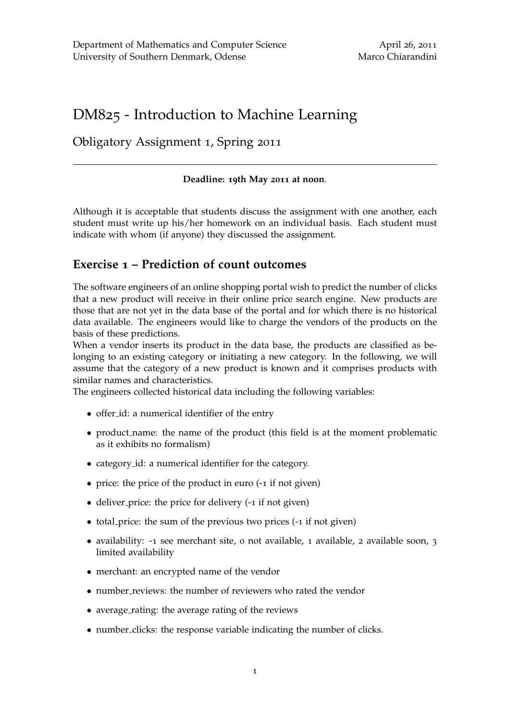# DM825 - Introduction to Machine Learning

## Obligatory Assignment 1, Spring 2011

#### **Deadline: 19th May 2011 at noon**.

Although it is acceptable that students discuss the assignment with one another, each student must write up his/her homework on an individual basis. Each student must indicate with whom (if anyone) they discussed the assignment.

## **Exercise 1 – Prediction of count outcomes**

The software engineers of an online shopping portal wish to predict the number of clicks that a new product will receive in their online price search engine. New products are those that are not yet in the data base of the portal and for which there is no historical data available. The engineers would like to charge the vendors of the products on the basis of these predictions.

When a vendor inserts its product in the data base, the products are classified as belonging to an existing category or initiating a new category. In the following, we will assume that the category of a new product is known and it comprises products with similar names and characteristics.

The engineers collected historical data including the following variables:

- offer id: a numerical identifier of the entry
- product name: the name of the product (this field is at the moment problematic as it exhibits no formalism)
- category id: a numerical identifier for the category.
- price: the price of the product in euro (-1 if not given)
- deliver price: the price for delivery (-1 if not given)
- total price: the sum of the previous two prices (-1 if not given)
- availability: -1 see merchant site, 0 not available, 1 available, 2 available soon, 3 limited availability
- merchant: an encrypted name of the vendor
- number\_reviews: the number of reviewers who rated the vendor
- average rating: the average rating of the reviews
- number clicks: the response variable indicating the number of clicks.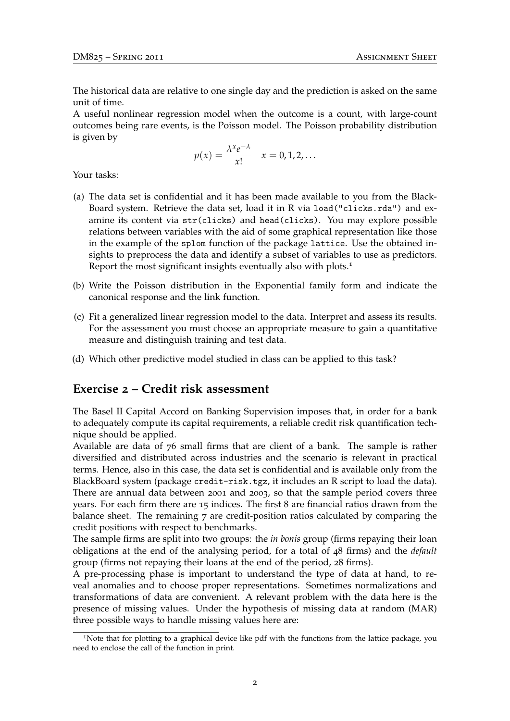The historical data are relative to one single day and the prediction is asked on the same unit of time.

A useful nonlinear regression model when the outcome is a count, with large-count outcomes being rare events, is the Poisson model. The Poisson probability distribution is given by

$$
p(x) = \frac{\lambda^x e^{-\lambda}}{x!} \quad x = 0, 1, 2, \dots
$$

Your tasks:

- (a) The data set is confidential and it has been made available to you from the Black-Board system. Retrieve the data set, load it in R via load("clicks.rda") and examine its content via str(clicks) and head(clicks). You may explore possible relations between variables with the aid of some graphical representation like those in the example of the splom function of the package lattice. Use the obtained insights to preprocess the data and identify a subset of variables to use as predictors. Report the most significant insights eventually also with plots.<sup>1</sup>
- (b) Write the Poisson distribution in the Exponential family form and indicate the canonical response and the link function.
- (c) Fit a generalized linear regression model to the data. Interpret and assess its results. For the assessment you must choose an appropriate measure to gain a quantitative measure and distinguish training and test data.
- (d) Which other predictive model studied in class can be applied to this task?

### **Exercise 2 – Credit risk assessment**

The Basel II Capital Accord on Banking Supervision imposes that, in order for a bank to adequately compute its capital requirements, a reliable credit risk quantification technique should be applied.

Available are data of 76 small firms that are client of a bank. The sample is rather diversified and distributed across industries and the scenario is relevant in practical terms. Hence, also in this case, the data set is confidential and is available only from the BlackBoard system (package credit-risk.tgz, it includes an R script to load the data). There are annual data between 2001 and 2003, so that the sample period covers three years. For each firm there are 15 indices. The first 8 are financial ratios drawn from the balance sheet. The remaining 7 are credit-position ratios calculated by comparing the credit positions with respect to benchmarks.

The sample firms are split into two groups: the *in bonis* group (firms repaying their loan obligations at the end of the analysing period, for a total of 48 firms) and the *default* group (firms not repaying their loans at the end of the period, 28 firms).

A pre-processing phase is important to understand the type of data at hand, to reveal anomalies and to choose proper representations. Sometimes normalizations and transformations of data are convenient. A relevant problem with the data here is the presence of missing values. Under the hypothesis of missing data at random (MAR) three possible ways to handle missing values here are:

<sup>&</sup>lt;sup>1</sup>Note that for plotting to a graphical device like pdf with the functions from the lattice package, you need to enclose the call of the function in print.